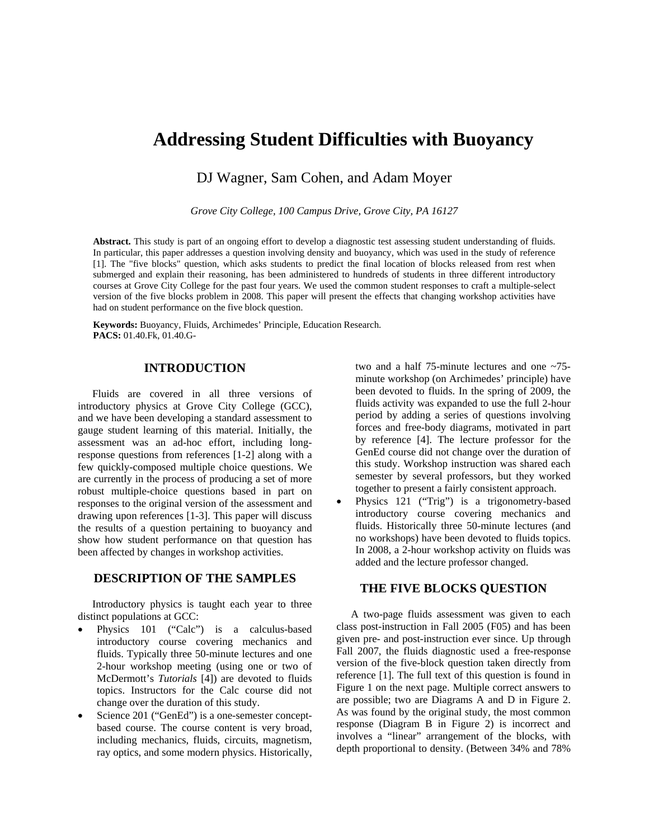# **Addressing Student Difficulties with Buoyancy**

DJ Wagner, Sam Cohen, and Adam Moyer

*Grove City College, 100 Campus Drive, Grove City, PA 16127* 

**Abstract.** This study is part of an ongoing effort to develop a diagnostic test assessing student understanding of fluids. In particular, this paper addresses a question involving density and buoyancy, which was used in the study of reference [1]. The "five blocks" question, which asks students to predict the final location of blocks released from rest when submerged and explain their reasoning, has been administered to hundreds of students in three different introductory courses at Grove City College for the past four years. We used the common student responses to craft a multiple-select version of the five blocks problem in 2008. This paper will present the effects that changing workshop activities have had on student performance on the five block question.

**Keywords:** Buoyancy, Fluids, Archimedes' Principle, Education Research. **PACS:** 01.40.Fk, 01.40.G-

# **INTRODUCTION**

Fluids are covered in all three versions of introductory physics at Grove City College (GCC), and we have been developing a standard assessment to gauge student learning of this material. Initially, the assessment was an ad-hoc effort, including longresponse questions from references [1-2] along with a few quickly-composed multiple choice questions. We are currently in the process of producing a set of more robust multiple-choice questions based in part on responses to the original version of the assessment and drawing upon references [1-3]. This paper will discuss the results of a question pertaining to buoyancy and show how student performance on that question has been affected by changes in workshop activities.

## **DESCRIPTION OF THE SAMPLES**

Introductory physics is taught each year to three distinct populations at GCC:

- Physics 101 ("Calc") is a calculus-based introductory course covering mechanics and fluids. Typically three 50-minute lectures and one 2-hour workshop meeting (using one or two of McDermott's *Tutorials* [4]) are devoted to fluids topics. Instructors for the Calc course did not change over the duration of this study.
- Science 201 ("GenEd") is a one-semester conceptbased course. The course content is very broad, including mechanics, fluids, circuits, magnetism, ray optics, and some modern physics. Historically,

two and a half 75-minute lectures and one ~75 minute workshop (on Archimedes' principle) have been devoted to fluids. In the spring of 2009, the fluids activity was expanded to use the full 2-hour period by adding a series of questions involving forces and free-body diagrams, motivated in part by reference [4]. The lecture professor for the GenEd course did not change over the duration of this study. Workshop instruction was shared each semester by several professors, but they worked together to present a fairly consistent approach.

• Physics 121 ("Trig") is a trigonometry-based introductory course covering mechanics and fluids. Historically three 50-minute lectures (and no workshops) have been devoted to fluids topics. In 2008, a 2-hour workshop activity on fluids was added and the lecture professor changed.

## **THE FIVE BLOCKS QUESTION**

A two-page fluids assessment was given to each class post-instruction in Fall 2005 (F05) and has been given pre- and post-instruction ever since. Up through Fall 2007, the fluids diagnostic used a free-response version of the five-block question taken directly from reference [1]. The full text of this question is found in Figure 1 on the next page. Multiple correct answers to are possible; two are Diagrams A and D in Figure 2. As was found by the original study, the most common response (Diagram B in Figure 2) is incorrect and involves a "linear" arrangement of the blocks, with depth proportional to density. (Between 34% and 78%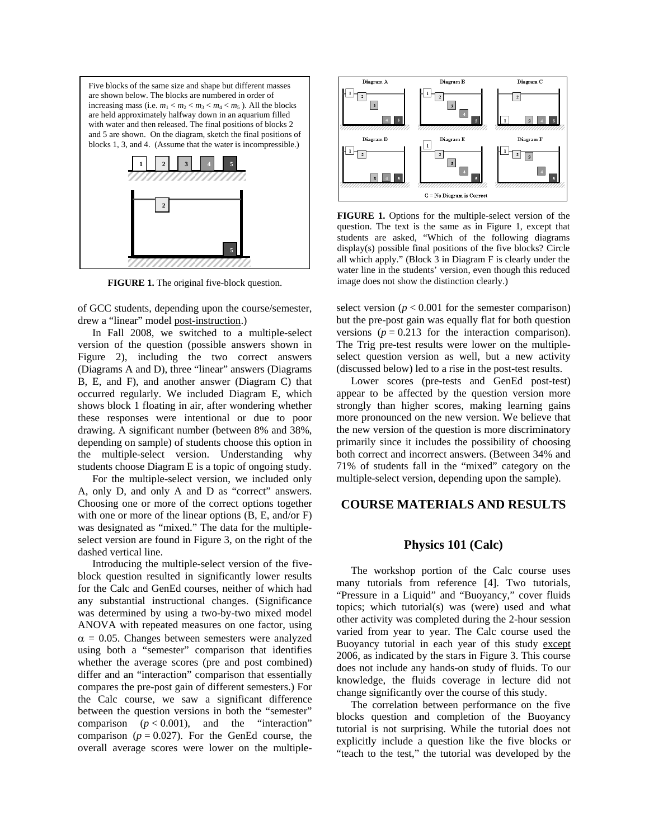

**FIGURE 1.** The original five-block question.

of GCC students, depending upon the course/semester, drew a "linear" model post-instruction.)

In Fall 2008, we switched to a multiple-select version of the question (possible answers shown in Figure 2), including the two correct answers (Diagrams A and D), three "linear" answers (Diagrams B, E, and F), and another answer (Diagram C) that occurred regularly. We included Diagram E, which shows block 1 floating in air, after wondering whether these responses were intentional or due to poor drawing. A significant number (between 8% and 38%, depending on sample) of students choose this option in the multiple-select version. Understanding why students choose Diagram E is a topic of ongoing study.

For the multiple-select version, we included only A, only D, and only A and D as "correct" answers. Choosing one or more of the correct options together with one or more of the linear options (B, E, and/or F) was designated as "mixed." The data for the multipleselect version are found in Figure 3, on the right of the dashed vertical line.

Introducing the multiple-select version of the fiveblock question resulted in significantly lower results for the Calc and GenEd courses, neither of which had any substantial instructional changes. (Significance was determined by using a two-by-two mixed model ANOVA with repeated measures on one factor, using  $\alpha$  = 0.05. Changes between semesters were analyzed using both a "semester" comparison that identifies whether the average scores (pre and post combined) differ and an "interaction" comparison that essentially compares the pre-post gain of different semesters.) For the Calc course, we saw a significant difference between the question versions in both the "semester" comparison  $(p < 0.001)$ , and the "interaction" comparison  $(p = 0.027)$ . For the GenEd course, the overall average scores were lower on the multiple-



**FIGURE 1.** Options for the multiple-select version of the question. The text is the same as in Figure 1, except that students are as ked, "Which of the following diagrams displa y(s) possible final positions of the five blocks? Circle all which app ly." (Block 3 in Diagram F is clearly under the water lin e in the students' version, even though this reduced image does not show the distinction clearly.)

select version  $(p < 0.001$  for the semester comparison) but the pre-post gain was equally flat for both question versions ( $p = 0.213$  for the interaction comparison). The Trig pre-test results were lower on the multipleselect question version as well, but a new activity (discussed below) led to a rise in the post-test results.

Lower scores (pre-tests and GenEd post-test) appear to be affected by the question version more strongly than higher scores, making learning gains more pronounced on the new version. We believe that the new version of the question is more discriminatory primarily since it includes the possibility of choosing both correct and incorrect answers. (Between 34% and 71% of students fall in the "mixed" category on the multiple-select version, depending upon the sample).

## **COURSE MATERIALS AND RESULTS**

#### **Physics 101 (Calc)**

The workshop portion of the Calc course uses many tutorials from reference [4]. Two tutorials, "Pressure in a Liquid" and "Buoyancy," cover fluids topics; which tutorial(s) was (were) used and what other activity was completed during the 2-hour session varied from year to year. The Calc course used the Buoyancy tutorial in each year of this study except 2006, as indicated by the stars in Figure 3. This course does not include any hands-on study of fluids. To our knowledge, the fluids coverage in lecture did not change significantly over the course of this study.

The correlation between performance on the five blocks question and completion of the Buoyancy tutorial is not surprising. While the tutorial does not explicitly include a question like the five blocks or "teach to the test," the tutorial was developed by the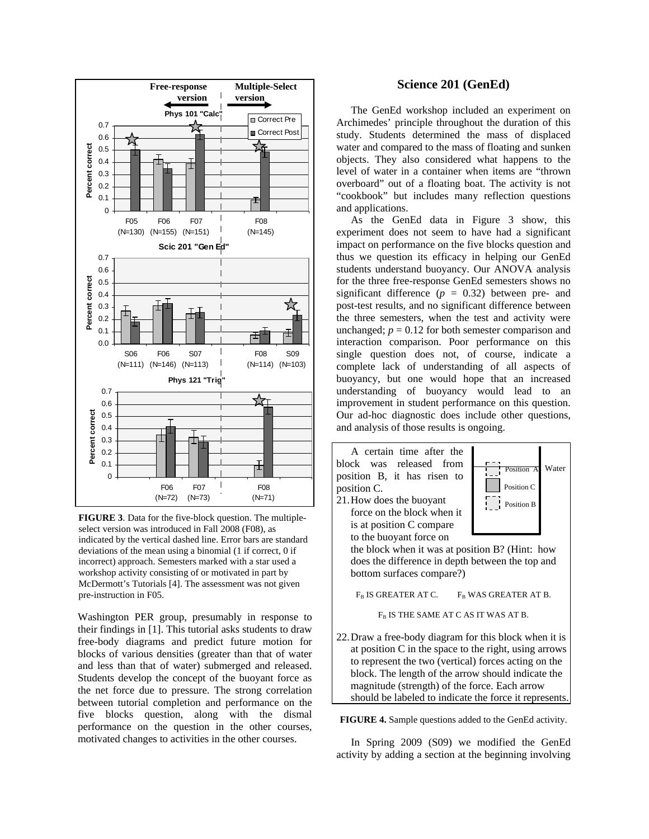

**FIGURE 3**. Data for the five-block question. The multipleselect version was introduced in Fall 2008 (F08), as indicated by the vertical dashed line. Error bars are standard deviations of the mean using a binomial (1 if correct, 0 if incorrect) approach. Semesters marked with a star used a workshop activity consisting of or motivated in part by McDermott's Tutorials [4]. The assessment was not given pre-instruction in F05.

Washington PER group, presumably in response to their findings in [1]. This tutorial asks students to draw free-body diagrams and predict future motion for blocks of various densities (greater than that of water and less than that of water) submerged and released. Students develop the concept of the buoyant force as the net force due to pressure. The strong correlation between tutorial completion and performance on the five blocks question, along with the dismal performance on the question in the other courses, motivated changes to activities in the other courses.

#### **Science 201 (GenEd)**

The GenEd workshop included an experiment on Archimedes' principle throughout the duration of this study. Students determined the mass of displaced water and compared to the mass of floating and sunken objects. They also considered what happens to the level of water in a container when items are "thrown overboard" out of a floating boat. The activity is not "cookbook" but includes many reflection questions and applications.

As the GenEd data in Figure 3 show, this experiment does not seem to have had a significant impact on performance on the five blocks question and thus we question its efficacy in helping our GenEd students understand buoyancy. Our ANOVA analysis for the three free-response GenEd semesters shows no significant difference  $(p = 0.32)$  between pre- and post-test results, and no significant difference between the three semesters, when the test and activity were unchanged;  $p = 0.12$  for both semester comparison and interaction comparison. Poor performance on this single question does not, of course, indicate a complete lack of understanding of all aspects of buoyancy, but one would hope that an increased understanding of buoyancy would lead to an improvement in student performance on this question. Our ad-hoc diagnostic does include other questions, and analysis of those results is ongoing.



**FIGURE 4.** Sample questions added to the GenEd activity.

should be labeled to indicate the force it represents.

In Spring 2009 (S09) we modified the GenEd activity by adding a section at the beginning involving